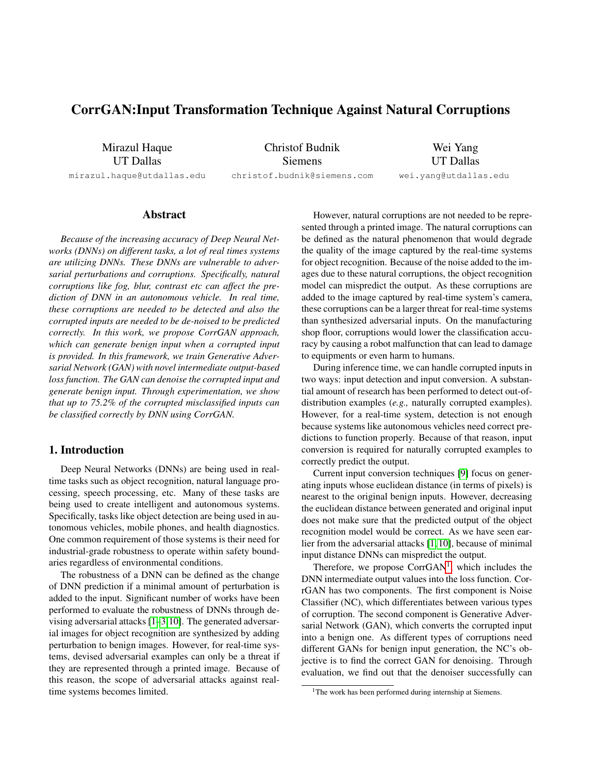# CorrGAN:Input Transformation Technique Against Natural Corruptions

Mirazul Haque UT Dallas

mirazul.haque@utdallas.edu

Christof Budnik Siemens christof.budnik@siemens.com

Wei Yang UT Dallas

wei.yang@utdallas.edu

Abstract

*Because of the increasing accuracy of Deep Neural Networks (DNNs) on different tasks, a lot of real times systems are utilizing DNNs. These DNNs are vulnerable to adversarial perturbations and corruptions. Specifically, natural corruptions like fog, blur, contrast etc can affect the prediction of DNN in an autonomous vehicle. In real time, these corruptions are needed to be detected and also the corrupted inputs are needed to be de-noised to be predicted correctly. In this work, we propose CorrGAN approach, which can generate benign input when a corrupted input is provided. In this framework, we train Generative Adversarial Network (GAN) with novel intermediate output-based loss function. The GAN can denoise the corrupted input and generate benign input. Through experimentation, we show that up to 75.2% of the corrupted misclassified inputs can be classified correctly by DNN using CorrGAN.*

# 1. Introduction

Deep Neural Networks (DNNs) are being used in realtime tasks such as object recognition, natural language processing, speech processing, etc. Many of these tasks are being used to create intelligent and autonomous systems. Specifically, tasks like object detection are being used in autonomous vehicles, mobile phones, and health diagnostics. One common requirement of those systems is their need for industrial-grade robustness to operate within safety boundaries regardless of environmental conditions.

The robustness of a DNN can be defined as the change of DNN prediction if a minimal amount of perturbation is added to the input. Significant number of works have been performed to evaluate the robustness of DNNs through devising adversarial attacks [\[1–](#page-3-0)[3,](#page-3-1)[10\]](#page-3-2). The generated adversarial images for object recognition are synthesized by adding perturbation to benign images. However, for real-time systems, devised adversarial examples can only be a threat if they are represented through a printed image. Because of this reason, the scope of adversarial attacks against realtime systems becomes limited.

However, natural corruptions are not needed to be represented through a printed image. The natural corruptions can be defined as the natural phenomenon that would degrade the quality of the image captured by the real-time systems for object recognition. Because of the noise added to the images due to these natural corruptions, the object recognition model can mispredict the output. As these corruptions are added to the image captured by real-time system's camera, these corruptions can be a larger threat for real-time systems than synthesized adversarial inputs. On the manufacturing shop floor, corruptions would lower the classification accuracy by causing a robot malfunction that can lead to damage to equipments or even harm to humans.

During inference time, we can handle corrupted inputs in two ways: input detection and input conversion. A substantial amount of research has been performed to detect out-ofdistribution examples (*e.g.,* naturally corrupted examples). However, for a real-time system, detection is not enough because systems like autonomous vehicles need correct predictions to function properly. Because of that reason, input conversion is required for naturally corrupted examples to correctly predict the output.

Current input conversion techniques [\[9\]](#page-3-3) focus on generating inputs whose euclidean distance (in terms of pixels) is nearest to the original benign inputs. However, decreasing the euclidean distance between generated and original input does not make sure that the predicted output of the object recognition model would be correct. As we have seen earlier from the adversarial attacks [\[1,](#page-3-0) [10\]](#page-3-2), because of minimal input distance DNNs can mispredict the output.

Therefore, we propose  $CorrGAN<sup>1</sup>$  $CorrGAN<sup>1</sup>$  $CorrGAN<sup>1</sup>$ , which includes the DNN intermediate output values into the loss function. CorrGAN has two components. The first component is Noise Classifier (NC), which differentiates between various types of corruption. The second component is Generative Adversarial Network (GAN), which converts the corrupted input into a benign one. As different types of corruptions need different GANs for benign input generation, the NC's objective is to find the correct GAN for denoising. Through evaluation, we find out that the denoiser successfully can

<span id="page-0-0"></span><sup>&</sup>lt;sup>1</sup>The work has been performed during internship at Siemens.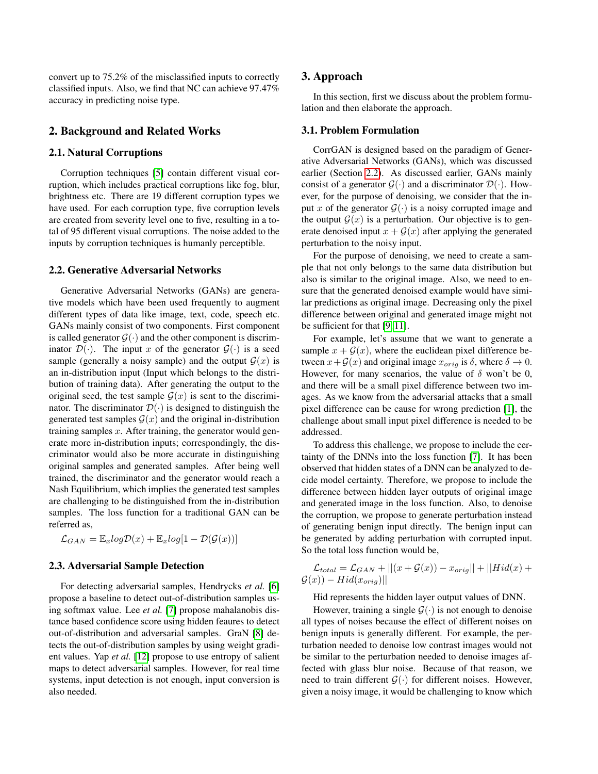convert up to 75.2% of the misclassified inputs to correctly classified inputs. Also, we find that NC can achieve 97.47% accuracy in predicting noise type.

# 2. Background and Related Works

#### 2.1. Natural Corruptions

Corruption techniques [\[5\]](#page-3-4) contain different visual corruption, which includes practical corruptions like fog, blur, brightness etc. There are 19 different corruption types we have used. For each corruption type, five corruption levels are created from severity level one to five, resulting in a total of 95 different visual corruptions. The noise added to the inputs by corruption techniques is humanly perceptible.

#### <span id="page-1-0"></span>2.2. Generative Adversarial Networks

Generative Adversarial Networks (GANs) are generative models which have been used frequently to augment different types of data like image, text, code, speech etc. GANs mainly consist of two components. First component is called generator  $\mathcal{G}(\cdot)$  and the other component is discriminator  $\mathcal{D}(\cdot)$ . The input x of the generator  $\mathcal{G}(\cdot)$  is a seed sample (generally a noisy sample) and the output  $\mathcal{G}(x)$  is an in-distribution input (Input which belongs to the distribution of training data). After generating the output to the original seed, the test sample  $\mathcal{G}(x)$  is sent to the discriminator. The discriminator  $\mathcal{D}(\cdot)$  is designed to distinguish the generated test samples  $\mathcal{G}(x)$  and the original in-distribution training samples  $x$ . After training, the generator would generate more in-distribution inputs; correspondingly, the discriminator would also be more accurate in distinguishing original samples and generated samples. After being well trained, the discriminator and the generator would reach a Nash Equilibrium, which implies the generated test samples are challenging to be distinguished from the in-distribution samples. The loss function for a traditional GAN can be referred as,

 $\mathcal{L}_{GAN} = \mathbb{E}_{x} log \mathcal{D}(x) + \mathbb{E}_{x} log[1 - \mathcal{D}(\mathcal{G}(x))]$ 

## 2.3. Adversarial Sample Detection

For detecting adversarial samples, Hendrycks *et al.* [\[6\]](#page-3-5) propose a baseline to detect out-of-distribution samples using softmax value. Lee *et al.* [\[7\]](#page-3-6) propose mahalanobis distance based confidence score using hidden feaures to detect out-of-distribution and adversarial samples. GraN [\[8\]](#page-3-7) detects the out-of-distribution samples by using weight gradient values. Yap *et al.* [\[12\]](#page-3-8) propose to use entropy of salient maps to detect adversarial samples. However, for real time systems, input detection is not enough, input conversion is also needed.

## 3. Approach

In this section, first we discuss about the problem formulation and then elaborate the approach.

#### 3.1. Problem Formulation

CorrGAN is designed based on the paradigm of Generative Adversarial Networks (GANs), which was discussed earlier (Section [2.2\)](#page-1-0). As discussed earlier, GANs mainly consist of a generator  $\mathcal{G}(\cdot)$  and a discriminator  $\mathcal{D}(\cdot)$ . However, for the purpose of denoising, we consider that the input x of the generator  $\mathcal{G}(\cdot)$  is a noisy corrupted image and the output  $G(x)$  is a perturbation. Our objective is to generate denoised input  $x + \mathcal{G}(x)$  after applying the generated perturbation to the noisy input.

For the purpose of denoising, we need to create a sample that not only belongs to the same data distribution but also is similar to the original image. Also, we need to ensure that the generated denoised example would have similar predictions as original image. Decreasing only the pixel difference between original and generated image might not be sufficient for that [\[9,](#page-3-3) [11\]](#page-3-9).

For example, let's assume that we want to generate a sample  $x + \mathcal{G}(x)$ , where the euclidean pixel difference between  $x+\mathcal{G}(x)$  and original image  $x_{\text{oria}}$  is  $\delta$ , where  $\delta \to 0$ . However, for many scenarios, the value of  $\delta$  won't be 0, and there will be a small pixel difference between two images. As we know from the adversarial attacks that a small pixel difference can be cause for wrong prediction [\[1\]](#page-3-0), the challenge about small input pixel difference is needed to be addressed.

To address this challenge, we propose to include the certainty of the DNNs into the loss function [\[7\]](#page-3-6). It has been observed that hidden states of a DNN can be analyzed to decide model certainty. Therefore, we propose to include the difference between hidden layer outputs of original image and generated image in the loss function. Also, to denoise the corruption, we propose to generate perturbation instead of generating benign input directly. The benign input can be generated by adding perturbation with corrupted input. So the total loss function would be,

$$
\mathcal{L}_{total} = \mathcal{L}_{GAN} + ||(x + \mathcal{G}(x)) - x_{orig}|| + ||Hid(x) + \mathcal{G}(x)) - Hid(x_{orig})||
$$

Hid represents the hidden layer output values of DNN.

However, training a single  $\mathcal{G}(\cdot)$  is not enough to denoise all types of noises because the effect of different noises on benign inputs is generally different. For example, the perturbation needed to denoise low contrast images would not be similar to the perturbation needed to denoise images affected with glass blur noise. Because of that reason, we need to train different  $\mathcal{G}(\cdot)$  for different noises. However, given a noisy image, it would be challenging to know which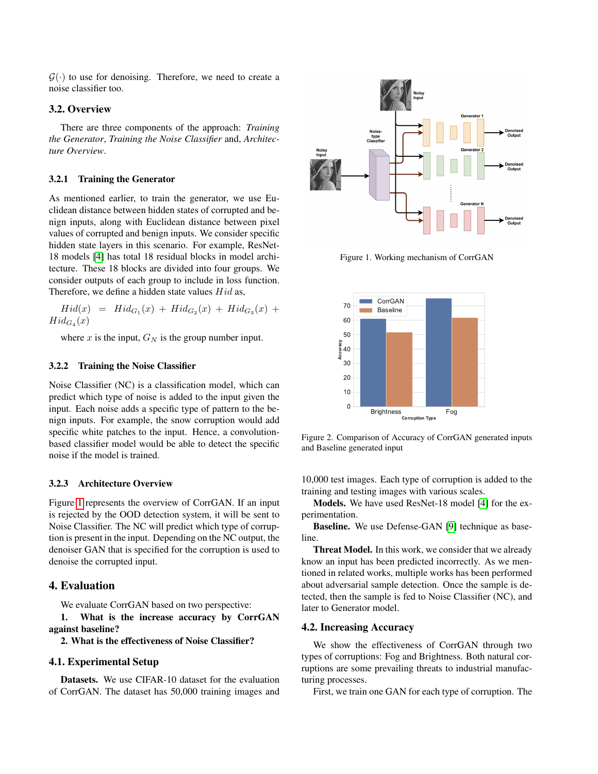$G(\cdot)$  to use for denoising. Therefore, we need to create a noise classifier too.

## 3.2. Overview

There are three components of the approach: *Training the Generator*, *Training the Noise Classifier* and, *Architecture Overview*.

#### 3.2.1 Training the Generator

As mentioned earlier, to train the generator, we use Euclidean distance between hidden states of corrupted and benign inputs, along with Euclidean distance between pixel values of corrupted and benign inputs. We consider specific hidden state layers in this scenario. For example, ResNet-18 models [\[4\]](#page-3-10) has total 18 residual blocks in model architecture. These 18 blocks are divided into four groups. We consider outputs of each group to include in loss function. Therefore, we define a hidden state values *Hid* as,

$$
Hid(x) = Hid_{G_1}(x) + Hid_{G_2}(x) + Hid_{G_3}(x) +
$$
  
\n
$$
Hid_{G_4}(x)
$$

where x is the input,  $G_N$  is the group number input.

#### 3.2.2 Training the Noise Classifier

Noise Classifier (NC) is a classification model, which can predict which type of noise is added to the input given the input. Each noise adds a specific type of pattern to the benign inputs. For example, the snow corruption would add specific white patches to the input. Hence, a convolutionbased classifier model would be able to detect the specific noise if the model is trained.

## 3.2.3 Architecture Overview

Figure [1](#page-2-0) represents the overview of CorrGAN. If an input is rejected by the OOD detection system, it will be sent to Noise Classifier. The NC will predict which type of corruption is present in the input. Depending on the NC output, the denoiser GAN that is specified for the corruption is used to denoise the corrupted input.

## 4. Evaluation

We evaluate CorrGAN based on two perspective:

1. What is the increase accuracy by CorrGAN against baseline?

# 2. What is the effectiveness of Noise Classifier?

#### 4.1. Experimental Setup

Datasets. We use CIFAR-10 dataset for the evaluation of CorrGAN. The dataset has 50,000 training images and

<span id="page-2-0"></span>

Figure 1. Working mechanism of CorrGAN

<span id="page-2-1"></span>

Figure 2. Comparison of Accuracy of CorrGAN generated inputs and Baseline generated input

10,000 test images. Each type of corruption is added to the training and testing images with various scales.

Models. We have used ResNet-18 model [\[4\]](#page-3-10) for the experimentation.

Baseline. We use Defense-GAN [\[9\]](#page-3-3) technique as baseline.

Threat Model. In this work, we consider that we already know an input has been predicted incorrectly. As we mentioned in related works, multiple works has been performed about adversarial sample detection. Once the sample is detected, then the sample is fed to Noise Classifier (NC), and later to Generator model.

#### 4.2. Increasing Accuracy

We show the effectiveness of CorrGAN through two types of corruptions: Fog and Brightness. Both natural corruptions are some prevailing threats to industrial manufacturing processes.

First, we train one GAN for each type of corruption. The